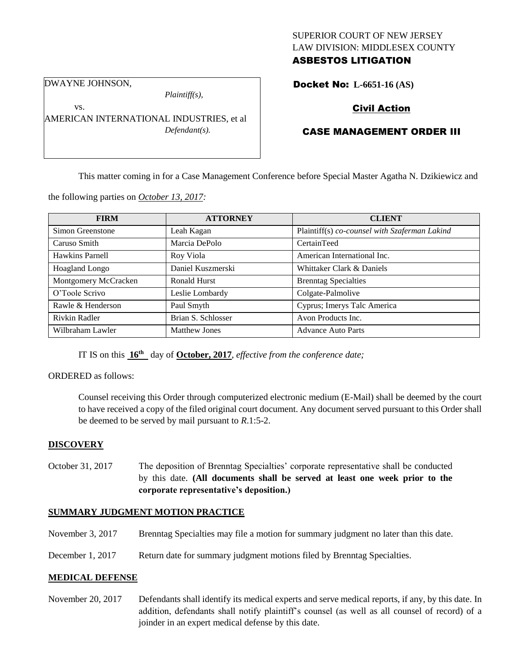## SUPERIOR COURT OF NEW JERSEY LAW DIVISION: MIDDLESEX COUNTY ASBESTOS LITIGATION

DWAYNE JOHNSON,

vs.

*Plaintiff(s),*

AMERICAN INTERNATIONAL INDUSTRIES, et al *Defendant(s).*

# Docket No: **L-6651-16 (AS)**

# Civil Action

# CASE MANAGEMENT ORDER III

This matter coming in for a Case Management Conference before Special Master Agatha N. Dzikiewicz and

the following parties on *October 13, 2017:*

| <b>FIRM</b>           | <b>ATTORNEY</b>      | <b>CLIENT</b>                                 |
|-----------------------|----------------------|-----------------------------------------------|
| Simon Greenstone      | Leah Kagan           | Plaintiff(s) co-counsel with Szaferman Lakind |
| Caruso Smith          | Marcia DePolo        | CertainTeed                                   |
| Hawkins Parnell       | Roy Viola            | American International Inc.                   |
| <b>Hoagland Longo</b> | Daniel Kuszmerski    | Whittaker Clark & Daniels                     |
| Montgomery McCracken  | <b>Ronald Hurst</b>  | <b>Brenntag Specialties</b>                   |
| O'Toole Scrivo        | Leslie Lombardy      | Colgate-Palmolive                             |
| Rawle & Henderson     | Paul Smyth           | Cyprus; Imerys Talc America                   |
| Rivkin Radler         | Brian S. Schlosser   | Avon Products Inc.                            |
| Wilbraham Lawler      | <b>Matthew Jones</b> | <b>Advance Auto Parts</b>                     |

IT IS on this **16th** day of **October, 2017**, *effective from the conference date;*

ORDERED as follows:

Counsel receiving this Order through computerized electronic medium (E-Mail) shall be deemed by the court to have received a copy of the filed original court document. Any document served pursuant to this Order shall be deemed to be served by mail pursuant to *R*.1:5-2.

# **DISCOVERY**

October 31, 2017 The deposition of Brenntag Specialties' corporate representative shall be conducted by this date. **(All documents shall be served at least one week prior to the corporate representative's deposition.)**

### **SUMMARY JUDGMENT MOTION PRACTICE**

- November 3, 2017 Brenntag Specialties may file a motion for summary judgment no later than this date.
- December 1, 2017 Return date for summary judgment motions filed by Brenntag Specialties.

# **MEDICAL DEFENSE**

November 20, 2017 Defendants shall identify its medical experts and serve medical reports, if any, by this date. In addition, defendants shall notify plaintiff's counsel (as well as all counsel of record) of a joinder in an expert medical defense by this date.